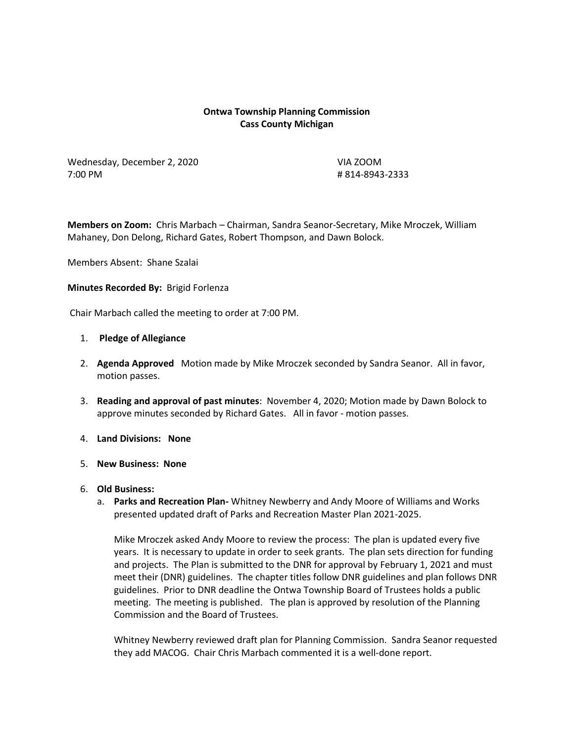# **Ontwa Township Planning Commission Cass County Michigan**

Wednesday, December 2, 2020 VIA ZOOM 7:00 PM # 814-8943-2333

**Members on Zoom:** Chris Marbach – Chairman, Sandra Seanor-Secretary, Mike Mroczek, William Mahaney, Don Delong, Richard Gates, Robert Thompson, and Dawn Bolock.

Members Absent: Shane Szalai

### **Minutes Recorded By:** Brigid Forlenza

Chair Marbach called the meeting to order at 7:00 PM.

### 1. **Pledge of Allegiance**

- 2. **Agenda Approved** Motion made by Mike Mroczek seconded by Sandra Seanor. All in favor, motion passes.
- 3. **Reading and approval of past minutes**: November 4, 2020; Motion made by Dawn Bolock to approve minutes seconded by Richard Gates. All in favor - motion passes.
- 4. **Land Divisions: None**
- 5. **New Business: None**
- 6. **Old Business:**
	- a. **Parks and Recreation Plan-** Whitney Newberry and Andy Moore of Williams and Works presented updated draft of Parks and Recreation Master Plan 2021-2025.

Mike Mroczek asked Andy Moore to review the process: The plan is updated every five years. It is necessary to update in order to seek grants. The plan sets direction for funding and projects. The Plan is submitted to the DNR for approval by February 1, 2021 and must meet their (DNR) guidelines. The chapter titles follow DNR guidelines and plan follows DNR guidelines. Prior to DNR deadline the Ontwa Township Board of Trustees holds a public meeting. The meeting is published. The plan is approved by resolution of the Planning Commission and the Board of Trustees.

Whitney Newberry reviewed draft plan for Planning Commission. Sandra Seanor requested they add MACOG. Chair Chris Marbach commented it is a well-done report.